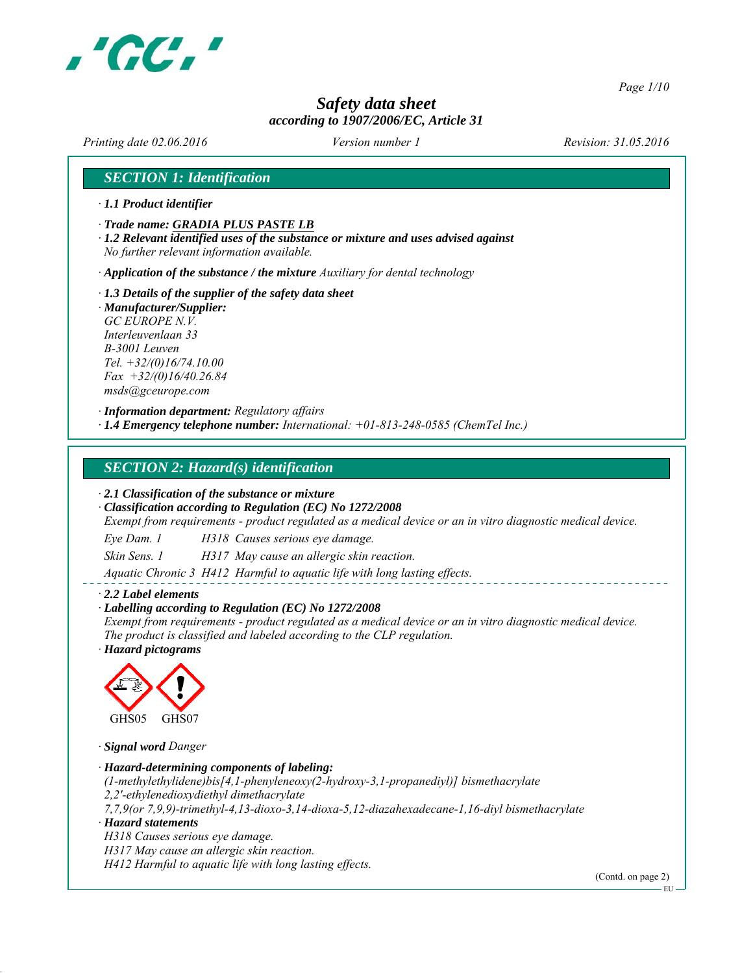

*Page 1/10*

# *Safety data sheet according to 1907/2006/EC, Article 31*

*Printing date 02.06.2016 Revision: 31.05.2016 Version number 1*

# *SECTION 1: Identification*

- *∙ 1.1 Product identifier*
- *∙ Trade name: GRADIA PLUS PASTE LB*
- *∙ 1.2 Relevant identified uses of the substance or mixture and uses advised against No further relevant information available.*
- *∙ Application of the substance / the mixture Auxiliary for dental technology*
- *∙ 1.3 Details of the supplier of the safety data sheet*
- *∙ Manufacturer/Supplier: GC EUROPE N.V. Interleuvenlaan 33 B-3001 Leuven Tel. +32/(0)16/74.10.00 Fax +32/(0)16/40.26.84 msds@gceurope.com*

*∙ Information department: Regulatory affairs ∙ 1.4 Emergency telephone number: International: +01-813-248-0585 (ChemTel Inc.)*

#### *SECTION 2: Hazard(s) identification*

#### *∙ 2.1 Classification of the substance or mixture*

*∙ Classification according to Regulation (EC) No 1272/2008*

*Exempt from requirements - product regulated as a medical device or an in vitro diagnostic medical device.*

*Eye Dam. 1 H318 Causes serious eye damage.*

*Skin Sens. 1 H317 May cause an allergic skin reaction.*

*Aquatic Chronic 3 H412 Harmful to aquatic life with long lasting effects.*

#### *∙ 2.2 Label elements*

#### *∙ Labelling according to Regulation (EC) No 1272/2008*

*Exempt from requirements - product regulated as a medical device or an in vitro diagnostic medical device. The product is classified and labeled according to the CLP regulation.*

*∙ Hazard pictograms*



*∙ Signal word Danger*

*∙ Hazard-determining components of labeling: (1-methylethylidene)bis[4,1-phenyleneoxy(2-hydroxy-3,1-propanediyl)] bismethacrylate 2,2'-ethylenedioxydiethyl dimethacrylate 7,7,9(or 7,9,9)-trimethyl-4,13-dioxo-3,14-dioxa-5,12-diazahexadecane-1,16-diyl bismethacrylate ∙ Hazard statements H318 Causes serious eye damage. H317 May cause an allergic skin reaction.*

*H412 Harmful to aquatic life with long lasting effects.*

(Contd. on page 2)

EU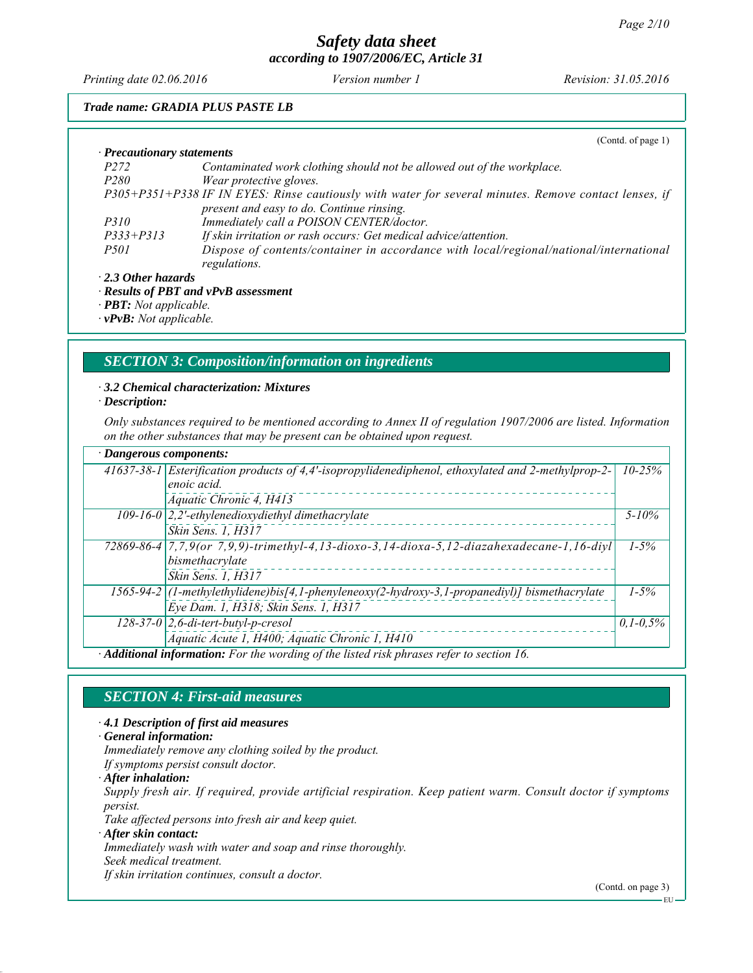*Printing date 02.06.2016 Revision: 31.05.2016 Version number 1*

## *Trade name: GRADIA PLUS PASTE LB*

|                                  | (Cond. of page 1)                                                                                     |
|----------------------------------|-------------------------------------------------------------------------------------------------------|
| $\cdot$ Precautionary statements |                                                                                                       |
| <i>P272</i>                      | Contaminated work clothing should not be allowed out of the workplace.                                |
| <i>P280</i>                      | Wear protective gloves.                                                                               |
|                                  | P305+P351+P338 IF IN EYES: Rinse cautiously with water for several minutes. Remove contact lenses, if |
|                                  | present and easy to do. Continue rinsing.                                                             |
| <i>P310</i>                      | Immediately call a POISON CENTER/doctor.                                                              |
| $P333 + P313$                    | If skin irritation or rash occurs: Get medical advice/attention.                                      |
| <i>P501</i>                      | Dispose of contents/container in accordance with local/regional/national/international                |
|                                  | regulations.                                                                                          |
| $\cdot$ 2.3 Other hazards        |                                                                                                       |
|                                  | · Results of PBT and vPvB assessment                                                                  |
|                                  |                                                                                                       |

*∙ PBT: Not applicable.*

*∙ vPvB: Not applicable.*

# *SECTION 3: Composition/information on ingredients*

*∙ 3.2 Chemical characterization: Mixtures*

*∙ Description:*

*Only substances required to be mentioned according to Annex II of regulation 1907/2006 are listed. Information on the other substances that may be present can be obtained upon request.*

| $\cdot$ Dangerous components:                                                             |                                                                                                                  |               |  |  |
|-------------------------------------------------------------------------------------------|------------------------------------------------------------------------------------------------------------------|---------------|--|--|
|                                                                                           | 41637-38-1 Esterification products of 4,4'-isopropylidenediphenol, ethoxylated and 2-methylprop-2-<br>$10 - 25%$ |               |  |  |
|                                                                                           | enoic acid.                                                                                                      |               |  |  |
|                                                                                           | Aquatic Chronic 4, H413                                                                                          |               |  |  |
|                                                                                           | 109-16-0 $ 2,2$ '-ethylenedioxydiethyl dimethacrylate<br>$5 - 10\%$                                              |               |  |  |
|                                                                                           | Skin Sens. 1, H317                                                                                               |               |  |  |
|                                                                                           | 72869-86-4 7,7,9(or 7,9,9)-trimethyl-4,13-dioxo-3,14-dioxa-5,12-diazahexadecane-1,16-diyl                        | $1 - 5\%$     |  |  |
|                                                                                           | bismethacrylate                                                                                                  |               |  |  |
|                                                                                           | Skin Sens. 1, H317                                                                                               |               |  |  |
|                                                                                           | 1565-94-2 (1-methylethylidene)bis[4,1-phenyleneoxy(2-hydroxy-3,1-propanediyl)] bismethacrylate                   | $1-5%$        |  |  |
|                                                                                           | Eye Dam. 1, H318; Skin Sens. 1, H317                                                                             |               |  |  |
|                                                                                           | $128-37-0$ 2,6-di-tert-butyl-p-cresol                                                                            | $0.1 - 0.5\%$ |  |  |
|                                                                                           | Aquatic Acute 1, H400; Aquatic Chronic 1, H410                                                                   |               |  |  |
| · Additional information: For the wording of the listed risk phrases refer to section 16. |                                                                                                                  |               |  |  |

# *SECTION 4: First-aid measures*

*∙ 4.1 Description of first aid measures*

*∙ General information:*

*Immediately remove any clothing soiled by the product.*

*If symptoms persist consult doctor.*

*∙ After inhalation:*

*Supply fresh air. If required, provide artificial respiration. Keep patient warm. Consult doctor if symptoms persist.*

*Take affected persons into fresh air and keep quiet.*

*∙ After skin contact:*

*Immediately wash with water and soap and rinse thoroughly.*

*Seek medical treatment.*

*If skin irritation continues, consult a doctor.*

(Contd. on page 3)

EU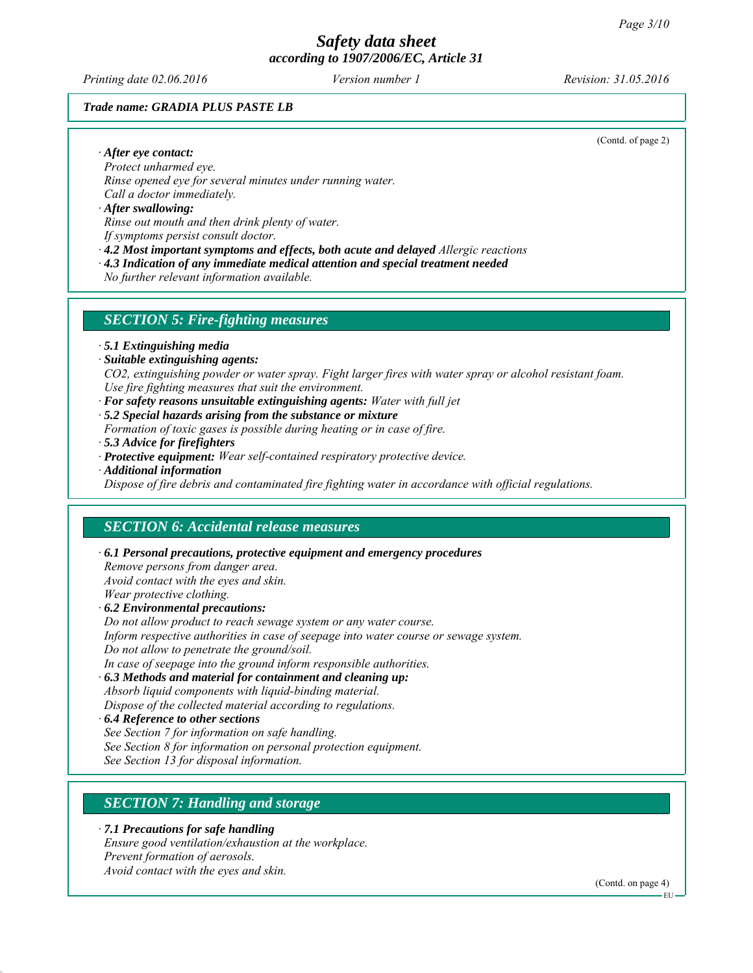*Printing date 02.06.2016 Revision: 31.05.2016 Version number 1*

(Contd. of page 2)

#### *Trade name: GRADIA PLUS PASTE LB*

*∙ After eye contact:*

*Protect unharmed eye. Rinse opened eye for several minutes under running water. Call a doctor immediately.*

*∙ After swallowing: Rinse out mouth and then drink plenty of water. If symptoms persist consult doctor.*

*∙ 4.2 Most important symptoms and effects, both acute and delayed Allergic reactions*

*∙ 4.3 Indication of any immediate medical attention and special treatment needed*

*No further relevant information available.*

#### *SECTION 5: Fire-fighting measures*

*∙ 5.1 Extinguishing media*

*∙ Suitable extinguishing agents:*

*CO2, extinguishing powder or water spray. Fight larger fires with water spray or alcohol resistant foam. Use fire fighting measures that suit the environment.*

- *∙ For safety reasons unsuitable extinguishing agents: Water with full jet*
- *∙ 5.2 Special hazards arising from the substance or mixture*

*Formation of toxic gases is possible during heating or in case of fire.*

- *∙ 5.3 Advice for firefighters*
- *∙ Protective equipment: Wear self-contained respiratory protective device.*
- *∙ Additional information*

*Dispose of fire debris and contaminated fire fighting water in accordance with official regulations.*

# *SECTION 6: Accidental release measures*

*∙ 6.1 Personal precautions, protective equipment and emergency procedures Remove persons from danger area. Avoid contact with the eyes and skin. Wear protective clothing. ∙ 6.2 Environmental precautions: Do not allow product to reach sewage system or any water course. Inform respective authorities in case of seepage into water course or sewage system. Do not allow to penetrate the ground/soil.*

*In case of seepage into the ground inform responsible authorities.*

*∙ 6.3 Methods and material for containment and cleaning up: Absorb liquid components with liquid-binding material.*

*Dispose of the collected material according to regulations.*

- *∙ 6.4 Reference to other sections*
- *See Section 7 for information on safe handling.*
- *See Section 8 for information on personal protection equipment.*

*See Section 13 for disposal information.*

# *SECTION 7: Handling and storage*

*∙ 7.1 Precautions for safe handling*

*Ensure good ventilation/exhaustion at the workplace. Prevent formation of aerosols. Avoid contact with the eyes and skin.*

(Contd. on page 4)

EU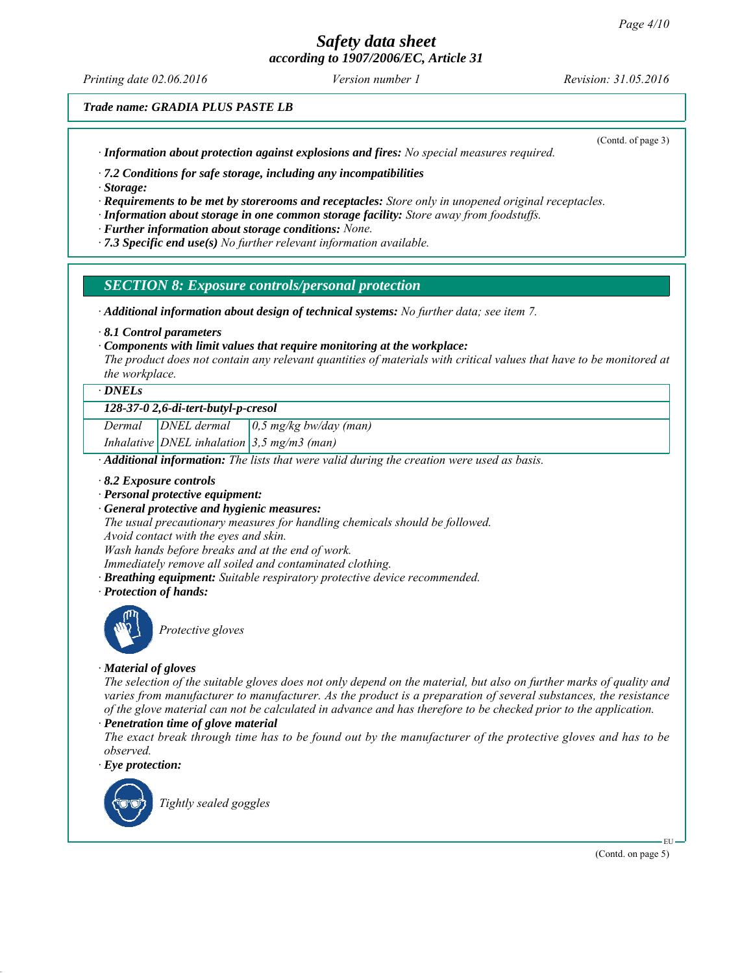# *Safety data sheet*

*according to 1907/2006/EC, Article 31*

*Printing date 02.06.2016 Revision: 31.05.2016 Version number 1*

*Trade name: GRADIA PLUS PASTE LB*

*∙ Information about protection against explosions and fires: No special measures required.*

(Contd. of page 3)

*∙ 7.2 Conditions for safe storage, including any incompatibilities*

*∙ Storage:*

*∙ Requirements to be met by storerooms and receptacles: Store only in unopened original receptacles.*

*∙ Information about storage in one common storage facility: Store away from foodstuffs.*

*∙ Further information about storage conditions: None.*

*∙ 7.3 Specific end use(s) No further relevant information available.*

*SECTION 8: Exposure controls/personal protection*

*∙ Additional information about design of technical systems: No further data; see item 7.*

*∙ 8.1 Control parameters*

*∙ Components with limit values that require monitoring at the workplace:*

*The product does not contain any relevant quantities of materials with critical values that have to be monitored at the workplace.*

*∙ DNELs*

#### *128-37-0 2,6-di-tert-butyl-p-cresol*

*Dermal DNEL dermal 0,5 mg/kg bw/day (man) Inhalative DNEL inhalation 3,5 mg/m3 (man)*

*∙ Additional information: The lists that were valid during the creation were used as basis.*

- *∙ 8.2 Exposure controls*
- *∙ Personal protective equipment:*
- *∙ General protective and hygienic measures:*

*The usual precautionary measures for handling chemicals should be followed. Avoid contact with the eyes and skin.*

*Wash hands before breaks and at the end of work.*

- *Immediately remove all soiled and contaminated clothing.*
- *∙ Breathing equipment: Suitable respiratory protective device recommended.*
- *∙ Protection of hands:*



*Protective gloves*

#### *∙ Material of gloves*

*The selection of the suitable gloves does not only depend on the material, but also on further marks of quality and varies from manufacturer to manufacturer. As the product is a preparation of several substances, the resistance of the glove material can not be calculated in advance and has therefore to be checked prior to the application.*

#### *∙ Penetration time of glove material*

*The exact break through time has to be found out by the manufacturer of the protective gloves and has to be observed.*

*∙ Eye protection:*



*Tightly sealed goggles*

(Contd. on page 5)

EU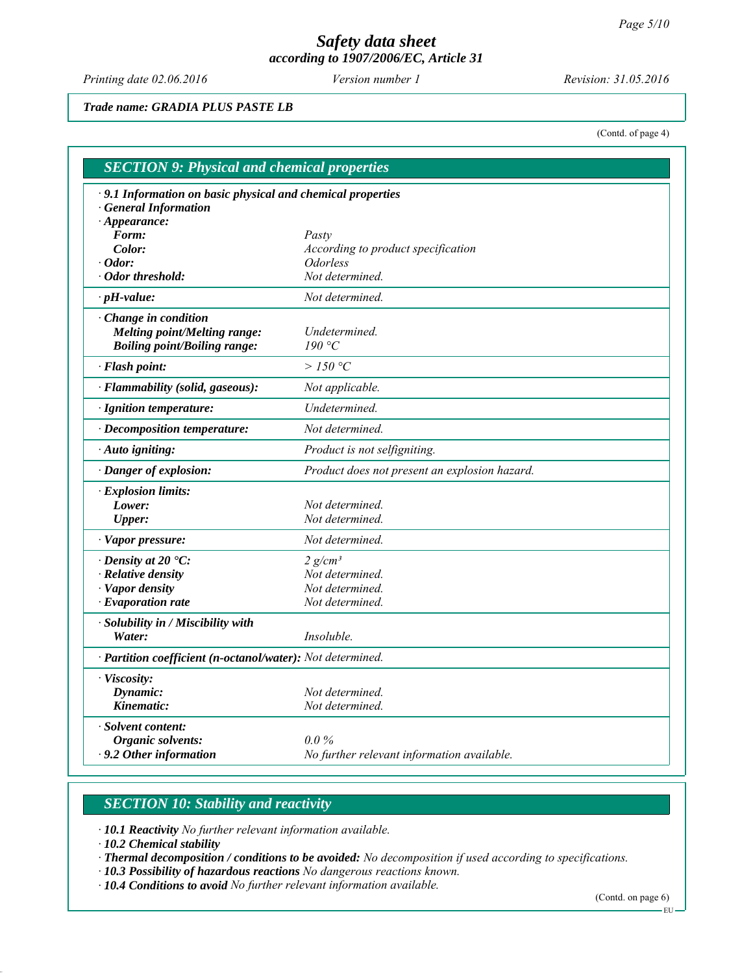*Printing date 02.06.2016 Revision: 31.05.2016 Version number 1*

*Trade name: GRADIA PLUS PASTE LB*

(Contd. of page 4)

| $\cdot$ 9.1 Information on basic physical and chemical properties |                                                                                          |  |
|-------------------------------------------------------------------|------------------------------------------------------------------------------------------|--|
| <b>General Information</b>                                        |                                                                                          |  |
| $\cdot$ Appearance:                                               |                                                                                          |  |
| Form:                                                             | Pasty<br>According to product specification<br><i><b>Odorless</b></i><br>Not determined. |  |
| Color:                                                            |                                                                                          |  |
| $\cdot$ Odor:<br>· Odor threshold:                                |                                                                                          |  |
|                                                                   |                                                                                          |  |
| $\cdot$ pH-value:                                                 | Not determined.                                                                          |  |
| Change in condition                                               |                                                                                          |  |
| <b>Melting point/Melting range:</b>                               | Undetermined.                                                                            |  |
| <b>Boiling point/Boiling range:</b>                               | 190 °C                                                                                   |  |
| · Flash point:                                                    | > 150 °C                                                                                 |  |
| · Flammability (solid, gaseous):                                  | Not applicable.                                                                          |  |
| · Ignition temperature:                                           | Undetermined.                                                                            |  |
| · Decomposition temperature:                                      | Not determined.                                                                          |  |
| · Auto igniting:                                                  | Product is not selfigniting.                                                             |  |
| · Danger of explosion:                                            | Product does not present an explosion hazard.                                            |  |
| · Explosion limits:                                               |                                                                                          |  |
| Lower:                                                            | Not determined.                                                                          |  |
| <b>Upper:</b>                                                     | Not determined.                                                                          |  |
| · Vapor pressure:                                                 | Not determined.                                                                          |  |
| $\cdot$ Density at 20 $\cdot$ C:                                  | $2 g/cm^3$                                                                               |  |
| · Relative density                                                | Not determined.                                                                          |  |
| · Vapor density                                                   | Not determined.                                                                          |  |
| $\cdot$ Evaporation rate                                          | Not determined.                                                                          |  |
| · Solubility in / Miscibility with                                |                                                                                          |  |
| Water:                                                            | Insoluble.                                                                               |  |
| · Partition coefficient (n-octanol/water): Not determined.        |                                                                                          |  |
| · Viscosity:                                                      |                                                                                          |  |
| Dynamic:                                                          | Not determined.                                                                          |  |
| Kinematic:                                                        | Not determined.                                                                          |  |
| · Solvent content:                                                |                                                                                          |  |
| <b>Organic solvents:</b>                                          | $0.0\%$                                                                                  |  |
| $\cdot$ 9.2 Other information                                     | No further relevant information available.                                               |  |

# *SECTION 10: Stability and reactivity*

*∙ 10.1 Reactivity No further relevant information available.*

*∙ 10.2 Chemical stability*

*∙ Thermal decomposition / conditions to be avoided: No decomposition if used according to specifications.*

*∙ 10.3 Possibility of hazardous reactions No dangerous reactions known.*

*∙ 10.4 Conditions to avoid No further relevant information available.*

(Contd. on page 6)

 $-EU -$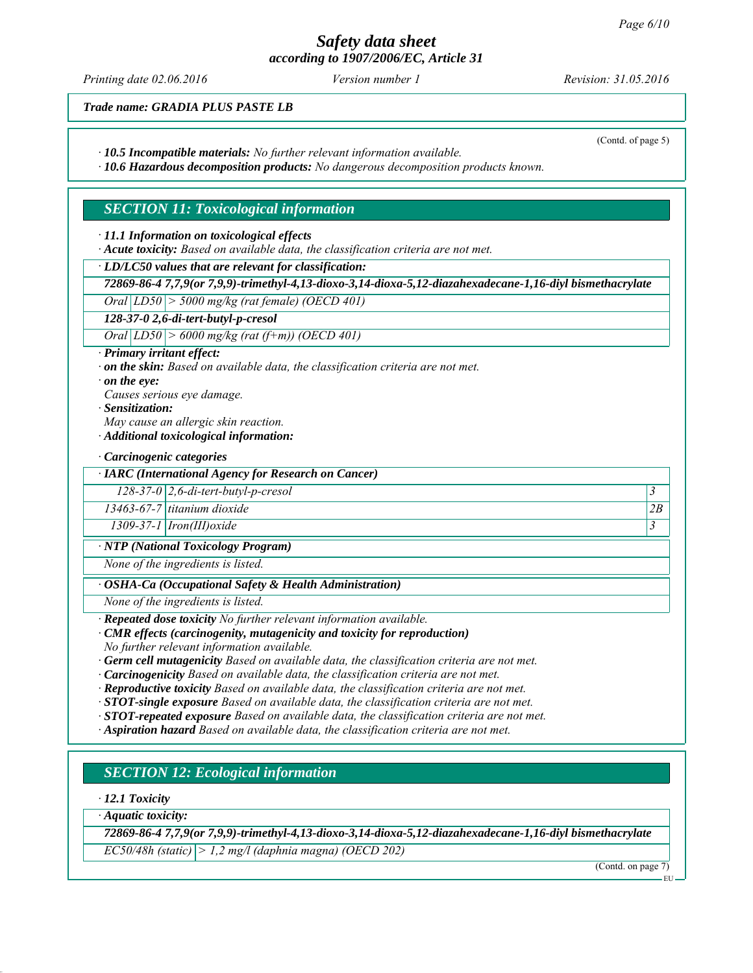*Printing date 02.06.2016 Revision: 31.05.2016 Version number 1*

(Contd. of page 5)

*Trade name: GRADIA PLUS PASTE LB*

*∙ 10.5 Incompatible materials: No further relevant information available.*

*∙ 10.6 Hazardous decomposition products: No dangerous decomposition products known.*

# *SECTION 11: Toxicological information*

*∙ 11.1 Information on toxicological effects*

*∙ Acute toxicity: Based on available data, the classification criteria are not met.*

*∙ LD/LC50 values that are relevant for classification:*

*72869-86-4 7,7,9(or 7,9,9)-trimethyl-4,13-dioxo-3,14-dioxa-5,12-diazahexadecane-1,16-diyl bismethacrylate*

*Oral LD50 > 5000 mg/kg (rat female) (OECD 401)*

*128-37-0 2,6-di-tert-butyl-p-cresol*

*Oral LD50 > 6000 mg/kg (rat (f+m)) (OECD 401)*

*∙ Primary irritant effect:*

*∙ on the skin: Based on available data, the classification criteria are not met.*

*∙ on the eye:*

*Causes serious eye damage.*

*∙ Sensitization:*

*May cause an allergic skin reaction.*

*∙ Additional toxicological information:*

*∙ Carcinogenic categories*

*∙ IARC (International Agency for Research on Cancer)*

*128-37-0 2,6-di-tert-butyl-p-cresol 3* 

*13463-67-7 titanium dioxide 2B*

*1309-37-1 Iron(III)oxide 3* 

*∙ NTP (National Toxicology Program)*

*None of the ingredients is listed.*

*∙ OSHA-Ca (Occupational Safety & Health Administration)*

*None of the ingredients is listed.*

*∙ Repeated dose toxicity No further relevant information available.*

*∙ CMR effects (carcinogenity, mutagenicity and toxicity for reproduction)*

*No further relevant information available.*

*∙ Germ cell mutagenicity Based on available data, the classification criteria are not met.*

*∙ Carcinogenicity Based on available data, the classification criteria are not met.*

*∙ Reproductive toxicity Based on available data, the classification criteria are not met.*

*∙ STOT-single exposure Based on available data, the classification criteria are not met.*

*∙ STOT-repeated exposure Based on available data, the classification criteria are not met.*

*∙ Aspiration hazard Based on available data, the classification criteria are not met.*

# *SECTION 12: Ecological information*

*∙ 12.1 Toxicity*

*∙ Aquatic toxicity:*

*72869-86-4 7,7,9(or 7,9,9)-trimethyl-4,13-dioxo-3,14-dioxa-5,12-diazahexadecane-1,16-diyl bismethacrylate EC50/48h (static) > 1,2 mg/l (daphnia magna) (OECD 202)*

(Contd. on page 7)

EU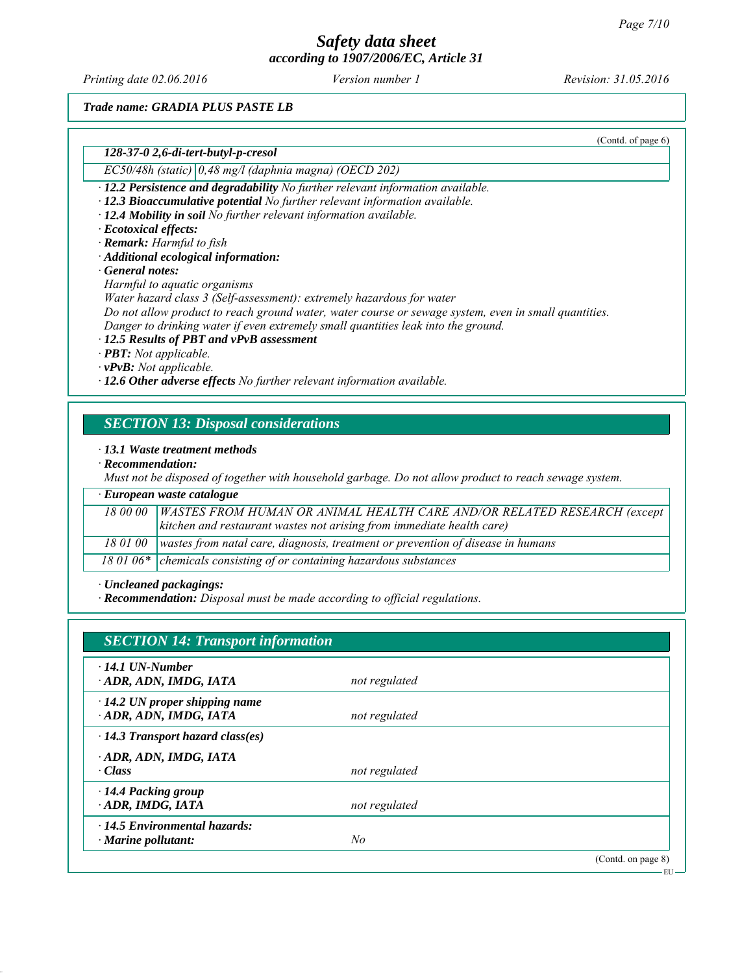*Printing date 02.06.2016 Revision: 31.05.2016 Version number 1*

(Contd. of page 6)

*Trade name: GRADIA PLUS PASTE LB*

*128-37-0 2,6-di-tert-butyl-p-cresol*

*EC50/48h (static) 0,48 mg/l (daphnia magna) (OECD 202)*

*∙ 12.2 Persistence and degradability No further relevant information available.*

*∙ 12.3 Bioaccumulative potential No further relevant information available.*

*∙ 12.4 Mobility in soil No further relevant information available.*

*∙ Ecotoxical effects:*

*∙ Remark: Harmful to fish*

*∙ Additional ecological information:*

*∙ General notes:*

*Harmful to aquatic organisms*

*Water hazard class 3 (Self-assessment): extremely hazardous for water*

*Do not allow product to reach ground water, water course or sewage system, even in small quantities.*

*Danger to drinking water if even extremely small quantities leak into the ground.*

*∙ 12.5 Results of PBT and vPvB assessment*

*∙ PBT: Not applicable.*

*∙ vPvB: Not applicable.*

*∙ 12.6 Other adverse effects No further relevant information available.*

## *SECTION 13: Disposal considerations*

*∙ 13.1 Waste treatment methods*

*∙ Recommendation:*

*Must not be disposed of together with household garbage. Do not allow product to reach sewage system.*

| $\cdot$ European waste catalogue |                                                                                            |  |  |  |
|----------------------------------|--------------------------------------------------------------------------------------------|--|--|--|
|                                  | 18 00 00   WASTES FROM HUMAN OR ANIMAL HEALTH CARE AND/OR RELATED RESEARCH (except         |  |  |  |
|                                  | kitchen and restaurant wastes not arising from immediate health care)                      |  |  |  |
|                                  | 18 01 00   wastes from natal care, diagnosis, treatment or prevention of disease in humans |  |  |  |
|                                  | $\overline{180106}$ * chemicals consisting of or containing hazardous substances           |  |  |  |

*∙ Uncleaned packagings:*

*∙ Recommendation: Disposal must be made according to official regulations.*

| <b>SECTION 14: Transport information</b> |               |                    |  |  |
|------------------------------------------|---------------|--------------------|--|--|
| $\cdot$ 14.1 UN-Number                   |               |                    |  |  |
| ADR, ADN, IMDG, IATA                     | not regulated |                    |  |  |
| $\cdot$ 14.2 UN proper shipping name     |               |                    |  |  |
| ADR, ADN, IMDG, IATA                     | not regulated |                    |  |  |
| $\cdot$ 14.3 Transport hazard class(es)  |               |                    |  |  |
| ADR, ADN, IMDG, IATA                     |               |                    |  |  |
| · Class                                  | not regulated |                    |  |  |
| $\cdot$ 14.4 Packing group               |               |                    |  |  |
| ADR, IMDG, IATA                          | not regulated |                    |  |  |
| $\cdot$ 14.5 Environmental hazards:      |               |                    |  |  |
| $\cdot$ Marine pollutant:                | No            |                    |  |  |
|                                          |               | (Contd. on page 8) |  |  |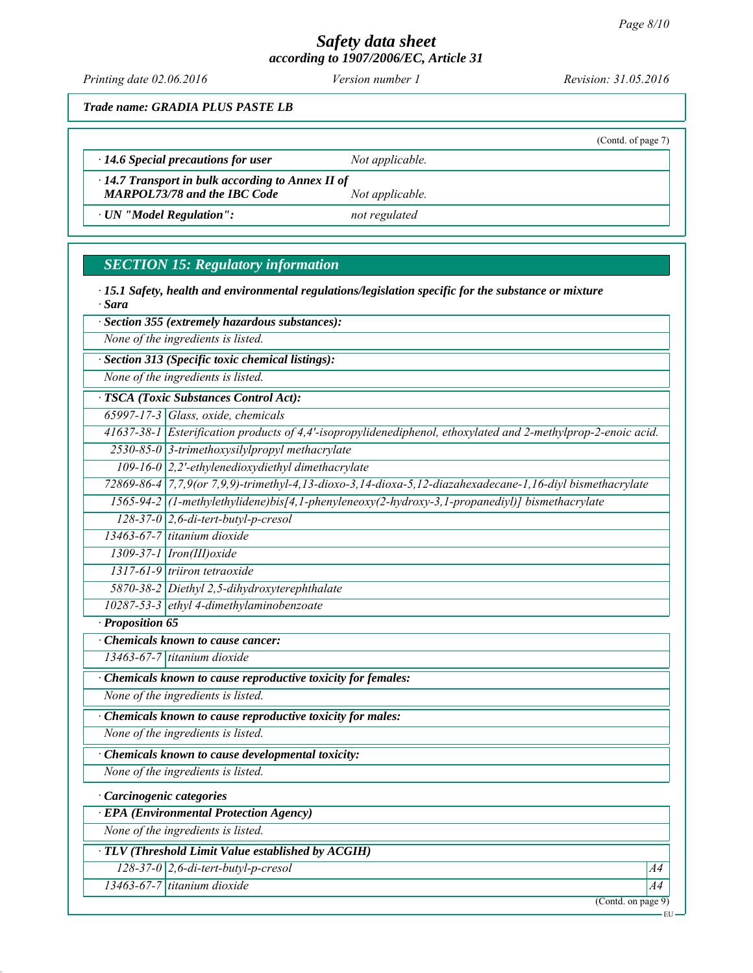*Printing date 02.06.2016 Revision: 31.05.2016 Version number 1*

(Contd. of page 7)

*Trade name: GRADIA PLUS PASTE LB*

*∙ 14.6 Special precautions for user Not applicable.*

*∙ 14.7 Transport in bulk according to Annex II of MARPOL73/78 and the IBC Code Not applicable.* 

*∙ UN "Model Regulation": not regulated*

# *SECTION 15: Regulatory information*

*∙ 15.1 Safety, health and environmental regulations/legislation specific for the substance or mixture ∙ Sara*

*∙ Section 355 (extremely hazardous substances):*

*None of the ingredients is listed.*

*∙ Section 313 (Specific toxic chemical listings):*

*None of the ingredients is listed.*

*∙ TSCA (Toxic Substances Control Act):*

*65997-17-3 Glass, oxide, chemicals*

*41637-38-1 Esterification products of 4,4'-isopropylidenediphenol, ethoxylated and 2-methylprop-2-enoic acid. 2530-85-0 3-trimethoxysilylpropyl methacrylate*

*109-16-0 2,2'-ethylenedioxydiethyl dimethacrylate*

*72869-86-4 7,7,9(or 7,9,9)-trimethyl-4,13-dioxo-3,14-dioxa-5,12-diazahexadecane-1,16-diyl bismethacrylate*

*1565-94-2 (1-methylethylidene)bis[4,1-phenyleneoxy(2-hydroxy-3,1-propanediyl)] bismethacrylate*

*128-37-0 2,6-di-tert-butyl-p-cresol 13463-67-7 titanium dioxide*

*1309-37-1 Iron(III)oxide*

*1317-61-9 triiron tetraoxide*

*5870-38-2 Diethyl 2,5-dihydroxyterephthalate*

*10287-53-3 ethyl 4-dimethylaminobenzoate*

*∙ Proposition 65*

*∙ Chemicals known to cause cancer:*

*13463-67-7 titanium dioxide*

*∙ Chemicals known to cause reproductive toxicity for females:*

*None of the ingredients is listed.*

*∙ Chemicals known to cause reproductive toxicity for males:*

*None of the ingredients is listed.*

*∙ Chemicals known to cause developmental toxicity:*

*None of the ingredients is listed.*

*∙ Carcinogenic categories*

*∙ EPA (Environmental Protection Agency)*

*None of the ingredients is listed.*

*∙ TLV (Threshold Limit Value established by ACGIH)*

*128-37-0 2,6-di-tert-butyl-p-cresol A4*

*13463-67-7 titanium dioxide A4*

(Contd. on page 9)

EU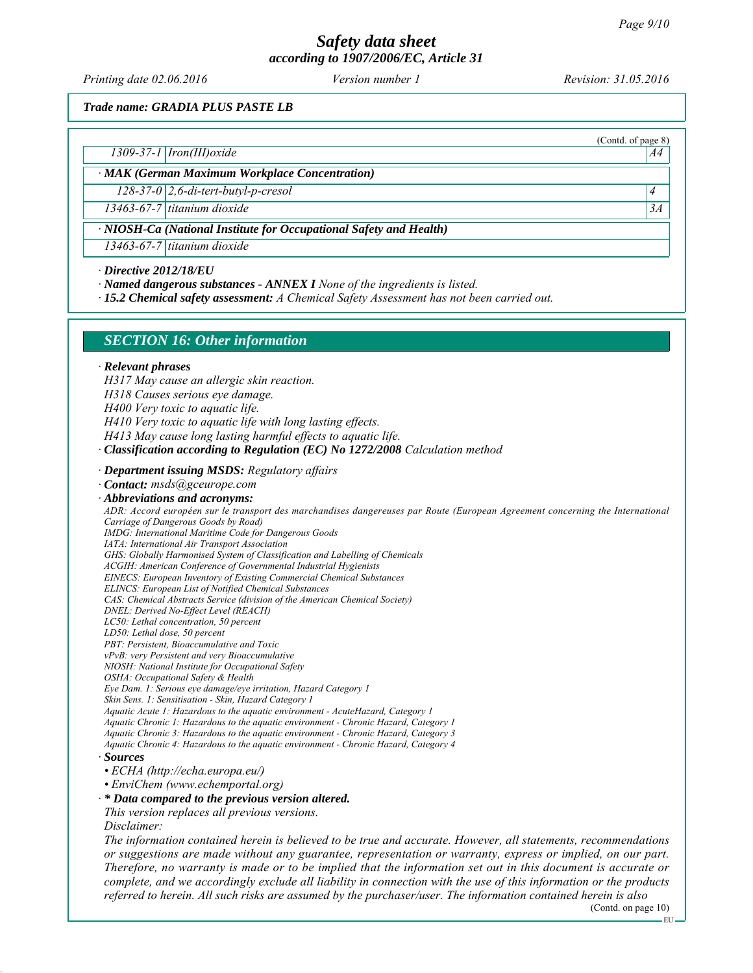*Printing date 02.06.2016 Revision: 31.05.2016 Version number 1*

(Contd. of page 8)

*Trade name: GRADIA PLUS PASTE LB*

*1309-37-1 Iron(III)oxide A4*

*∙ MAK (German Maximum Workplace Concentration)*

*128-37-0 2,6-di-tert-butyl-p-cresol 4* 

*13463-67-7 titanium dioxide 3A*

*∙ NIOSH-Ca (National Institute for Occupational Safety and Health)*

*13463-67-7 titanium dioxide*

*∙ Directive 2012/18/EU*

*∙ Named dangerous substances - ANNEX I None of the ingredients is listed.*

*∙ 15.2 Chemical safety assessment: A Chemical Safety Assessment has not been carried out.*

# *SECTION 16: Other information*

#### *∙ Relevant phrases*

- *H317 May cause an allergic skin reaction.*
- *H318 Causes serious eye damage.*
- *H400 Very toxic to aquatic life.*
- *H410 Very toxic to aquatic life with long lasting effects.*
- *H413 May cause long lasting harmful effects to aquatic life.*
- *∙ Classification according to Regulation (EC) No 1272/2008 Calculation method*
- *∙ Department issuing MSDS: Regulatory affairs*
- *∙ Contact: msds@gceurope.com*
- *∙ Abbreviations and acronyms:*
- *ADR: Accord européen sur le transport des marchandises dangereuses par Route (European Agreement concerning the International Carriage of Dangerous Goods by Road)*
- *IMDG: International Maritime Code for Dangerous Goods*
- *IATA: International Air Transport Association*
- *GHS: Globally Harmonised System of Classification and Labelling of Chemicals*
- *ACGIH: American Conference of Governmental Industrial Hygienists EINECS: European Inventory of Existing Commercial Chemical Substances*
- *ELINCS: European List of Notified Chemical Substances*
- *CAS: Chemical Abstracts Service (division of the American Chemical Society)*
- *DNEL: Derived No-Effect Level (REACH)*
- *LC50: Lethal concentration, 50 percent*
- *LD50: Lethal dose, 50 percent*
- *PBT: Persistent, Bioaccumulative and Toxic*
- *vPvB: very Persistent and very Bioaccumulative*
- *NIOSH: National Institute for Occupational Safety*
- *OSHA: Occupational Safety & Health*
- *Eye Dam. 1: Serious eye damage/eye irritation, Hazard Category 1*
- *Skin Sens. 1: Sensitisation Skin, Hazard Category 1*
- *Aquatic Acute 1: Hazardous to the aquatic environment AcuteHazard, Category 1*
- *Aquatic Chronic 1: Hazardous to the aquatic environment Chronic Hazard, Category 1 Aquatic Chronic 3: Hazardous to the aquatic environment - Chronic Hazard, Category 3*
- *Aquatic Chronic 4: Hazardous to the aquatic environment Chronic Hazard, Category 4*
- *∙ Sources*
- *ECHA (http://echa.europa.eu/)*
- *EnviChem (www.echemportal.org)*
- *∙ \* Data compared to the previous version altered.*
- *This version replaces all previous versions.*
- *Disclaimer:*

*The information contained herein is believed to be true and accurate. However, all statements, recommendations or suggestions are made without any guarantee, representation or warranty, express or implied, on our part. Therefore, no warranty is made or to be implied that the information set out in this document is accurate or complete, and we accordingly exclude all liability in connection with the use of this information or the products referred to herein. All such risks are assumed by the purchaser/user. The information contained herein is also*

(Contd. on page 10)